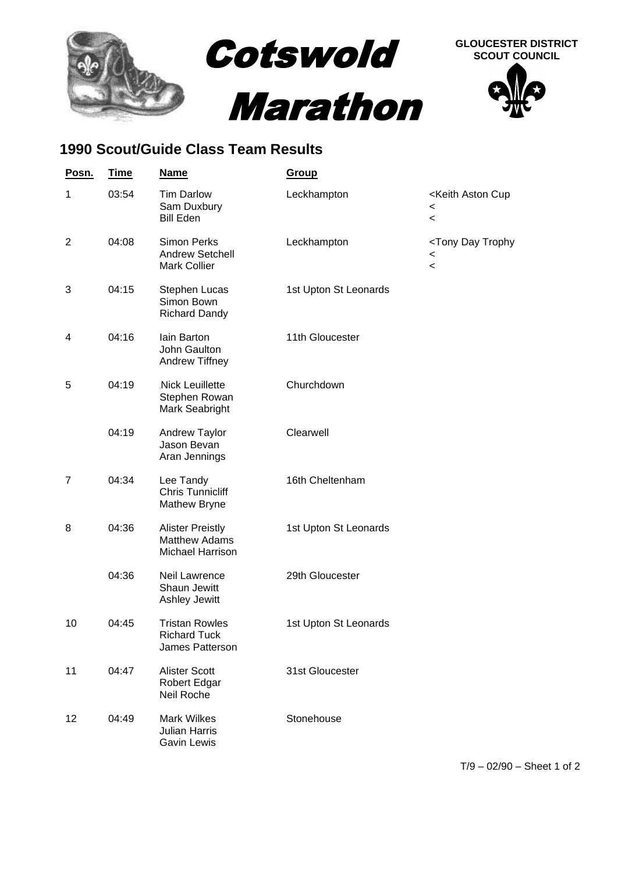

## **1990 Scout/Guide Class Team Results**

| Posn.          | <u>Time</u> | <b>Name</b>                                                          | Group                 |                                                                                                 |
|----------------|-------------|----------------------------------------------------------------------|-----------------------|-------------------------------------------------------------------------------------------------|
| 1              | 03:54       | <b>Tim Darlow</b><br>Sam Duxbury<br><b>Bill Eden</b>                 | Leckhampton           | <keith aston="" cup<br=""><math>\,&lt;\,</math><br/><math>\,&lt;\,</math></keith>               |
| $\overline{2}$ | 04:08       | <b>Simon Perks</b><br><b>Andrew Setchell</b><br><b>Mark Collier</b>  | Leckhampton           | <tony day="" trophy<br=""><math>\,&lt;\,</math><br/><math display="inline">\,&lt;</math></tony> |
| 3              | 04:15       | Stephen Lucas<br>Simon Bown<br><b>Richard Dandy</b>                  | 1st Upton St Leonards |                                                                                                 |
| 4              | 04:16       | lain Barton<br>John Gaulton<br>Andrew Tiffney                        | 11th Gloucester       |                                                                                                 |
| 5              | 04:19       | Nick Leuillette<br>Stephen Rowan<br>Mark Seabright                   | Churchdown            |                                                                                                 |
|                | 04:19       | Andrew Taylor<br>Jason Bevan<br>Aran Jennings                        | Clearwell             |                                                                                                 |
| 7              | 04:34       | Lee Tandy<br><b>Chris Tunnicliff</b><br>Mathew Bryne                 | 16th Cheltenham       |                                                                                                 |
| 8              | 04:36       | <b>Alister Preistly</b><br><b>Matthew Adams</b><br>Michael Harrison. | 1st Upton St Leonards |                                                                                                 |
|                | 04:36       | Neil Lawrence<br>Shaun Jewitt<br>Ashley Jewitt                       | 29th Gloucester       |                                                                                                 |
| 10             | 04:45       | <b>Tristan Rowles</b><br><b>Richard Tuck</b><br>James Patterson      | 1st Upton St Leonards |                                                                                                 |
| 11             | 04:47       | <b>Alister Scott</b><br>Robert Edgar<br>Neil Roche                   | 31st Gloucester       |                                                                                                 |
| 12             | 04:49       | <b>Mark Wilkes</b><br><b>Julian Harris</b><br><b>Gavin Lewis</b>     | Stonehouse            |                                                                                                 |

T/9 – 02/90 – Sheet 1 of 2